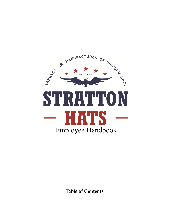

**Table of Contents**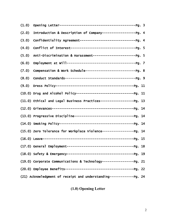| (1.0) |                                                                         |  |
|-------|-------------------------------------------------------------------------|--|
| (2.0) | Introduction & Description of Company------------------- Pg. 4          |  |
| (3.0) |                                                                         |  |
| (4.0) |                                                                         |  |
| (5.0) | Anti-Discrimination & Harassment------------------------- Pg. 5         |  |
| (6.0) |                                                                         |  |
| (7.0) |                                                                         |  |
| (8.0) |                                                                         |  |
| (9.0) |                                                                         |  |
|       | (10.0) Drug and Alcohol Policy---------------------------------- Pg. 11 |  |
|       | (11.0) Ethical and Legal Business Practices------------------- Pg. 13   |  |
|       |                                                                         |  |
|       | (13.0) Progressive Discipline----------------------------------- Pg. 14 |  |
|       |                                                                         |  |
|       | (15.0) Zero Tolerance for Workplace Violence------------------ Pg. 14   |  |
|       |                                                                         |  |
|       |                                                                         |  |
|       |                                                                         |  |
|       | (19.0) Corporate Communications & Technology------------------ Pg. 21   |  |
|       |                                                                         |  |
|       | (21) Acknowledgment of receipt and understanding------------- Pg. 24    |  |

# **(1.0) Opening Letter**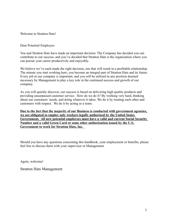Welcome to Stratton Hats!

Dear Potential Employee:

You and Stratton Hats have made an important decision: The Company has decided you can contribute to our success, and you've decided that Stratton Hats is the organization where you can pursue your career productively and enjoyably.

We believe we've each made the right decision, one that will result in a profitable relationship. The minute you start working here, you become an integral part of Stratton Hats and its future. Every job in our company is important, and you will be utilized in any position deemed necessary by Management to play a key role in the continued success and growth of our company.

As you will quickly discover, our success is based on delivering high quality products and providing unsurpassed customer service. How do we do it? By working very hard, thinking about our customers' needs, and doing whatever it takes. We do it by treating each other and customers with respect. We do it by acting as a team.

**Due to the fact that the majority of our Business is conducted with government agencies, we are obligated to employ only workers legally authorized by the United States Government. All new potential employees must have a valid and current Social Security Number and a valid Green Card or some other authorization issued by the U.S. Government to work for Stratton Hats, Inc.** 

Should you have any questions concerning this handbook, your employment or benefits, please feel free to discuss them with your supervisor or Management.

Again, welcome!

Stratton Hats Management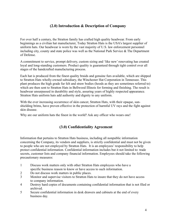# **(2.0) Introduction & Description of Company**

For over half a century, the Stratton family has crafted high quality headwear. From early beginnings as a civilian hat manufacturer, Today Stratton Hats is the USA's largest supplier of uniform hats. Our headwear is worn by the vast majority of U.S. law enforcement personnel including city, county and state police was well as the National Park Service & The Department of Defense.

A commitment to service, prompt delivery, custom sizing and 'like new' renovating has created loyal and long-standing customers. Product quality is guaranteed through tight control over all stages of the handcrafted manufacturing process.

Each hat is produced from the finest quality braids and genuine furs available, which are shipped to Stratton Hats wholly-owned subsidiary, the Winchester Hat Corporation in Tennessee. This plant produces the high grade fur felt and straw bodies (hoods as they are sometimes referred to) which are then sent to Stratton Hats in Bellwood Illinois for forming and finishing. The result is headwear unsurpassed in durability and style, assuring years of highly respected appearance. Stratton Hats uniform hats add authority and dignity to any uniform.

With the ever increasing occurrence of skin cancer, Stratton Hats, with their opaque, sunshielding brims, have proven effective in the protection of harmful UV rays and the fight against skin disease.

Why are our uniform hats the finest in the world? Ask any officer who wears one!

# **(3.0) Confidentiality Agreement**

Information that pertains to Stratton Hats business, including all nonpublic information concerning the Company, its vendors and suppliers, is strictly confidential and must not be given to people who are not employed by Stratton Hats. It is an employees' responsibility to help protect confidential information. Confidential information includes but it not limited to: trade secrets, customer lists and company financial information. Employees should take the following precautionary measures:

- 1 Discuss work matters only with other Stratton Hats employees who have a specific business reason to know or have access to such information.
- 2 Do not discuss work matters in public places.
- 3 Monitor and supervise visitors to Stratton Hats to insure that they do not have access to company information.
- 4 Destroy hard copies of documents containing confidential information that is not filed or archived.
- 5 Secure confidential information in desk drawers and cabinets at the end of every business day.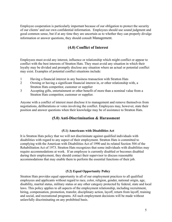Employee cooperation is particularly important because of our obligation to protect the security of our clients' and our own confidential information. Employees should use sound judgment and good common sense, but if at any time they are uncertain as to whether they can properly divulge information or answer questions, they should consult Management.

# **(4.0) Conflict of Interest**

Employees must avoid any interest, influence or relationship which might conflict or appear to conflict with the best interests of Stratton Hats. They must avoid any situation in which their loyalty may be divided and promptly disclose any situation where an actual or potential conflict may exist. Examples of potential conflict situations include:

- 1 Having a financial interest in any business transaction with Stratton Hats
- 2 Owning or having a significant financial interest in, or other relationship with, a Stratton Hats competitor, customer or supplier
- 3 Accepting gifts, entertainment or other benefit of more than a nominal value from a Stratton Hats competitor, customer or supplier.

Anyone with a conflict of interest must disclose it to management and remove themselves from negotiations, deliberations or votes involving the conflict. Employees may, however, state their position and answer questions when their knowledge may be of assistance to Stratton Hats.

# **(5.0) Anti-Discrimination & Harassment**

### **(5.1) Americans with Disabilities Act**

It is Stratton Hats policy that we will not discriminate against qualified individuals with disabilities with regard to any aspect of their employment. Stratton Hats is committed to complying with the American with Disabilities Act of 1990 and its related Section 504 of the Rehabilitation Act of 1973. Stratton Hats recognizes that some individuals with disabilities may require accommodations at work. If an employee is currently disabled or becomes disabled during their employment, they should contact their supervisor to discuss reasonable accommodations that may enable them to perform the essential functions of their job.

### **(5.2) Equal Opportunity Policy**

Stratton Hats provides equal opportunity in all of our employment practices to all qualified employees and applicants without regard to race, color, religion, gender, national origin, age, disability, marital status, military status or any other category protected by federal, state and local laws. This policy applies to all aspects of the employment relationship, including recruitment, hiring, compensation, promotion, transfer, disciplinary action, layoff, return from layoff, training and social, and recreational programs. All such employment decisions will be made without unlawfully discriminating on any prohibited basis.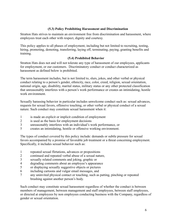### **(5.3) Policy Prohibiting Harassment and Discrimination**

Stratton Hats strives to maintain an environment free from discrimination and harassment, where employees treat each other with respect, dignity and courtesy.

This policy applies to all phases of employment, including but not limited to recruiting, testing, hiring, promoting, demoting, transferring, laying off, terminating, paying, granting benefits and training.

### **(5.4) Prohibited Behavior**

Stratton Hats does not and will not tolerate any type of harassment of our employees, applicants for employment, or our customers. Discriminatory conduct or conduct characterized as harassment as defined below is prohibited.

The term harassment includes, but is not limited to, slurs, jokes, and other verbal or physical conduct relating to a person's gender, ethnicity, race, color, creed, religion, sexual orientation, national origin, age, disability, marital status, military status or any other protected classification that unreasonably interferes with a person's work performance or creates an intimidating, hostile work environment.

Sexually harassing behavior in particular includes unwelcome conduct such as: sexual advances, requests for sexual favors, offensive touching, or other verbal or physical conduct of a sexual nature. Such conduct may constitute sexual harassment when it:

- 1 is made an explicit or implicit condition of employment
- 2 is used as the basis for employment decisions
- 3 unreasonably interferes with an individual's work performance, or
- 5 creates an intimidating, hostile or offensive working environment.

The types of conduct covered by this policy include: demands or subtle pressure for sexual favors accompanied by a promise of favorable job treatment or a threat concerning employment. Specifically, it includes sexual behavior such as:

- 1 repeated sexual flirtations, advances or propositions
- 2 continued and repeated verbal abuse of a sexual nature,
- 3 sexually related comments and joking, graphic or
- 4 degrading comments about an employee's appearance
- 5 or displaying sexually suggestive objects or pictures
- 6 including cartoons and vulgar email messages, and
- 7 any uninvited physical contact or touching, such as patting, pinching or repeated brushing against another person's body.

Such conduct may constitute sexual harassment regardless of whether the conduct is between members of management, between management and staff employees, between staff employees, or directed at employees by non employees conducting business with the Company, regardless of gender or sexual orientation.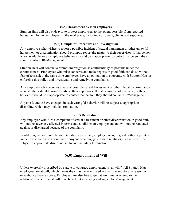### **(5.5) Harassment by Non employees**

Stratton Hats will also endeavor to protect employees, to the extent possible, from reported harassment by non employees in the workplace, including customers, clients and suppliers.

### **(5.6) Complaint Procedure and Investigation**

Any employee who wishes to report a possible incident of sexual harassment or other unlawful harassment or discrimination should promptly report the matter to their supervisor. If that person is not available, or an employee believes it would be inappropriate to contact that person, they should contact HR/Management.

Stratton Hats will conduct a prompt investigation as confidentially as possible under the circumstances. Employees who raise concerns and make reports in good faith can do so without fear of reprisal; at the same time employees have an obligation to cooperate with Stratton Hats in enforcing this policy and investigating and remedying complaints.

Any employee who becomes aware of possible sexual harassment or other illegal discrimination against others should promptly advise their supervisor. If that person is not available, or they believe it would be inappropriate to contact that person, they should contact HR/Management.

Anyone found to have engaged in such wrongful behavior will be subject to appropriate discipline, which may include termination.

### **(5.7) Retaliation**

Any employee who files a complaint of sexual harassment or other discrimination in good faith will not be adversely affected in terms and conditions of employment and will not be retaliated against or discharged because of the complaint.

In addition, we will not tolerate retaliation against any employee who, in good faith, cooperates in the investigation of a complaint. Anyone who engages in such retaliatory behavior will be subject to appropriate discipline, up to and including termination.

# **(6.0) Employment at Will**

Unless expressly proscribed by statute or contract, employment is "at will." All Stratton Hats employees are at will, which means they may be terminated at any time and for any reason, with or without advance notice. Employees are also free to quit at any time. Any employment relationship other than at will must be set out in writing and signed by Management.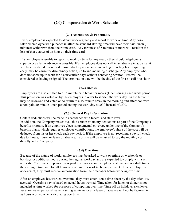### **(7.0) Compensation & Work Schedule**

### **(7.1) Attendance & Punctuality**

Every employee is expected to attend work regularly and report to work on time. Any nonsalaried employee who punches in after the standard starting time will have their paid lunch (30 minutes) withdrawn from their time card. Any tardiness of 5 minutes or more will result in the loss of that quarter of an hour on their time card.

If an employee is unable to report to work on time for any reason they should telephone a supervisor as far in advance as possible. If an employee does not call in an absence in advance, it will be considered unexcused. Unsatisfactory attendance, including reporting late or quitting early, may be cause for disciplinary action, up to and including discharge. Any employee who does not show up to work for 3 consecutive days without contacting Stratton Hats will be considered as having resigned. The termination date will be the day of the first no call / no show.

### **(7.2) Breaks**

Employees are also entitled to a 35 minute paid break for meals (lunch) during each work period. This provision was voted on by the employees in order to shorten the work day. In the future it may be reviewed and voted on to return to a 15 minute break in the morning and afternoon with a non-paid 30 minute lunch period ending the work day at 3:30 instead of 3:00.

### **(7.3) General Pay Information**

Certain deductions will be made in accordance with federal and state laws. In addition, the Company makes available certain voluntary deductions as part of the Company's benefits program. If an employee elects supplemental coverage under one of the Company's benefits plans, which requires employee contributions, the employee's share of the cost will be deducted from his or her check each pay period. If the employee is not receiving a payroll check due to illness, injury, or leave of absence, he or she will be required to pay the monthly cost directly to the Company.

#### **(7.4) Overtime**

Because of the nature of work, employees may be asked to work overtime on weekends or holidays or additional hours during the regular workday and are expected to comply with such requests. Overtime compensation is paid to all nonexempt employees at one and one-half times their straight time rate for all hours worked in excess of 40 hours per week. If an employee is nonexempt, they must receive authorization from their manager before working overtime.

After an employee has worked overtime, they must enter it on a time-sheet by the day after it is accrued. Overtime pay is based on actual hours worked. Time taken for lunch or dinner is not included as time worked for purposes of computing overtime. Time off on holidays, sick leave, vacation leave, personal leave, training seminars or any leave of absence will not be factored in as hours worked when calculating overtime.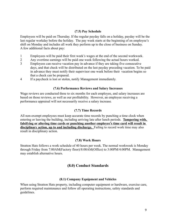### **(7.5) Pay Schedule**

Employees will be paid on Thursday. If the regular payday falls on a holiday, payday will be the last regular workday before the holiday. The pay week starts at the beginning of en employee's shift on Monday and includes all work they perform up to the close of business on Sunday. A few additional facts about pay:

- 1 Employees will be paid their first week's wages at the end of the second workweek.
- 2 Any overtime earnings will be paid one week following the actual hours worked.
- 3 Employees can receive vacation pay in advance if they are taking five consecutive days, and that check will be distributed on the last payday preceding vacation. To be paid in advance they must notify their supervisor one week before their vacation begins so that a check can be prepared.
- 4 If a paycheck is lost or stolen, notify Management immediately.

#### **(7.6) Performance Reviews and Salary Increases**

Wage reviews are conducted three to six months for each employee, and salary increases are based on those reviews, as well as our profitability. However, an employee receiving a performance appraisal will not necessarily receive a salary increase.

### **(7.7) Time Records**

All non-exempt employees must keep accurate time records by punching a time clock when entering or leaving the building, including arriving late after lunch periods. **Tampering with, falsifying or altering time cards or punching another employee's time card will result in disciplinary action, up to and including discharge.** Failing to record work time may also result in disciplinary action.

### **(7.8) Work Hours**

Stratton Hats follows a work schedule of 40 hours per week. The normal workweek is Monday through Friday from 7:00AM(Factory floor)/8:00AM(Office) to 3:00PM/4:00PM. Management may establish alternative hours.

### **(8.0) Conduct Standards**

### **(8.1) Company Equipment and Vehicles**

When using Stratton Hats property, including computer equipment or hardware, exercise care, perform required maintenance and follow all operating instructions, safety standards and guidelines.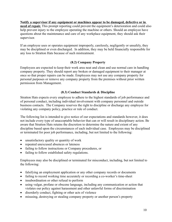**Notify a supervisor if any equipment or machines appear to be damaged, defective or in need of repair.** This prompt reporting could prevent the equipment's deterioration and could also help prevent injury to the employee operating the machine or others. Should an employee have questions about the maintenance and care of any workplace equipment, they should ask their supervisor.

If an employee uses or operates equipment improperly, carelessly, negligently or unsafely, they may be disciplined or even discharged. In addition, they may be held financially responsible for any loss to Stratton Hats because of such mistreatment.

### **(8.2) Company Property**

Employees are expected to keep their work area neat and clean and use normal care in handling company property. They should report any broken or damaged equipment to their manager at once so that proper repairs can be made. Employees may not use any company property for personal purposes or remove any company property from the premises without prior written permission from Management.

### **(8.3) Conduct Standards & Discipline**

Stratton Hats expects every employee to adhere to the highest standards of job performance and of personal conduct, including individual involvement with company personnel and outside business contacts. The Company reserves the right to discipline or discharge any employee for violating any company policy, practice or rule of conduct.

The following list is intended to give notice of our expectations and standards however, it does not include every type of unacceptable behavior that can or will result in disciplinary action. Be aware that Stratton Hats retains the discretion to determine the nature and extent of any discipline based upon the circumstances of each individual case. Employees may be disciplined or terminated for poor job performance, including, but not limited to the following:

- unsatisfactory quality or quantity of work
- repeated unexcused absences or lateness
- failing to follow instructions or Company procedures, or
- failing to follow established safety regulations.

Employees may also be disciplined or terminated for misconduct, including, but not limited to the following:

- falsifying an employment application or any other company records or documents
- failing to record working time accurately or recording a co-worker's time-sheet
- insubordination or other refusal to perform
- using vulgar, profane or obscene language, including any communication or action that violates our policy against harassment and other unlawful forms of discrimination
- disorderly conduct, fighting or other acts of violence
- misusing, destroying or stealing company property or another person's property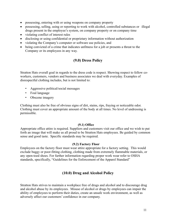- possessing, entering with or using weapons on company property
- possessing, selling, using or reporting to work with alcohol, controlled substances or illegal drugs present in the employee's system, on company property or on company time
- violating conflict of interest rules
- disclosing or using confidential or proprietary information without authorization
- violating the Company's computer or software use policies, and
- being convicted of a crime that indicates unfitness for a job or presents a threat to the Company or its employees in any way.

# **(9.0) Dress Policy**

Stratton Hats overall goal in regards to the dress code is respect. Showing respect to fellow coworkers, customers, vendors and business associates we deal with everyday. Examples of disrespectful clothing includes, but is not limited to:

- Aggressive political/social messages
- Foul language
- Obscene imagery

Clothing must also be free of obvious signs of dirt, stains, rips, fraying or noticeable odor. Clothing must cover an appropriate amount of the body at all times. No level of undressing is permissible.

### **(9.1) Office**

Appropriate office attire is required. Suppliers and customers visit our office and we wish to put forth an image that will make us all proud to be Stratton Hats employees. Be guided by common sense and good taste. Specific standards may be required.

### **(9.2) Factory Floor**

Employees on the factory floor must wear attire appropriate for a factory setting. This would exclude baggy or poor-fitting clothing, clothing made from extremely flammable materials, or any open-toed shoes. For further information regarding proper work wear refer to OSHA standards, specifically, "Guidelines for the Enforcement of the Apparel Standard"

# **(10.0) Drug and Alcohol Policy**

Stratton Hats strives to maintain a workplace free of drugs and alcohol and to discourage drug and alcohol abuse by its employees. Misuse of alcohol or drugs by employees can impair the ability of employees to perform their duties, create an unsafe work environment, as well as adversely affect our customers' confidence in our company.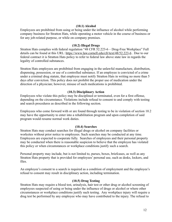### **(10.1) Alcohol**

Employees are prohibited from using or being under the influence of alcohol while performing company business for Stratton Hats, while operating a motor vehicle in the course of business or for any job-related purpose, or while on company premises.

#### **(10.2) Illegal Drugs**

Stratton Hats complies with federal regulation "48 CFR 52.223-6 – Drug-Free Workplace" Full details can be found at this URL: https://www.law.cornell.edu/cfr/text/48/52.223-6 . Due to our federal contract it is Stratton Hats policy to refer to federal law above state law in regards the legality of controlled substances.

Stratton Hats employees are prohibited from engaging in the unlawful manufacture, distribution, dispensing, possession, or use of a controlled substance. If an employee is convicted of a crime under a criminal drug statute, that employee must notify Stratton Hats in writing no more than 5 days after conviction. This policy does not prohibit the proper use of medication under the direction of a physician; however, misuse of such medications is prohibited.

### **(10.3) Disciplinary Action**

Employees who violate this policy may be disciplined or terminated, even for a first offense, depending on the circumstance. Violations include refusal to consent to and comply with testing and search procedures as described in the following section.

Employees who come forward with or are found through testing to be in violation of section 10.2 may have the opportunity to enter into a rehabilitation program and upon completion of said program would resume normal work duties.

#### **(10.4) Searches**

Stratton Hats may conduct searches for illegal drugs or alcohol on company facilities or worksites without prior notice to employees. Such searches may be conducted at any time. Employees are expected to cooperate fully. Searches of employees and their personal property may be conducted when there is reasonable suspicion to believe that the employee has violated this policy or when circumstances or workplace conditions justify such a search.

Personal property may include, but is not limited to, purses, boxes, briefcases, as well as any Stratton Hats property that is provided for employees' personal use, such as desks, lockers, and files.

An employee's consent to a search is required as a condition of employment and the employee's refusal to consent may result in disciplinary action, including termination.

### **(10.5) Drug Testing**

Stratton Hats may require a blood test, urinalysis, hair test or other drug or alcohol screening of employees suspected of using or being under the influence of drugs or alcohol or where other circumstances or workplace conditions justify such testing. Any workplace injury will require a drug test be performed by any employee who may have contributed to the injury. The refusal to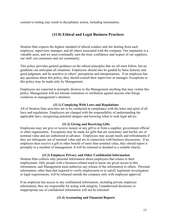consent to testing may result in disciplinary action, including termination.

# **(11.0) Ethical and Legal Business Practices**

Stratton Hats expects the highest standard of ethical conduct and fair dealing from each employee, supervisor, manager, and all others associated with the company. Our reputation is a valuable asset, and we must continually earn the trust, confidence and respect of our suppliers, our staff, our customers and our community.

This policy provides general guidance on the ethical principles that we all must follow, but no guideline can anticipate all situations. Employees should also be guided by basic honesty and good judgment, and be sensitive to others' perceptions and interpretations. If an employee has any questions about this policy, they should consult their supervisor or manager. Exceptions to this policy may be made only by Management.

Employees are expected to promptly disclose to the Management anything that may violate this policy. Management will not tolerate retaliation or retribution against anyone who brings violations to management's attention.

### **(11.1) Complying With Laws and Regulations**

All of Stratton Hats activities are to be conducted in compliance with the letter and spirit of all laws and regulations. Employees are charged with the responsibility of understanding the applicable laws, recognizing potential dangers and knowing when to seek legal advice.

### **(11.2) Giving and Receiving Gifts**

Employees may not give or receive money or any gift to or from a supplier, government official or other organization. Exceptions may be made for gifts that are customary and lawful, are of nominal value and are authorized in advance. Employees may accept meals and refreshments if they are infrequent, are of nominal value and are in connection with business discussions. If an employee does receive a gift or other benefit of more than nominal value, they should report it promptly to a member of management. It will be returned or donated to a suitable charity.

### **(11.3) Employee Privacy and Other Confidential Information**

Stratton Hats collects only personal information about employees that relates to their employment. Only people with a business-related need to know are given access to this information, and Management must authorize any release of the information to others. Personal information, other than that required to verify employment or to satisfy legitimate investigatory or legal requirements, will be released outside the company only with employee approval.

If an employee has access to any confidential information, including private employee information, they are responsible for acting with integrity. Unauthorized disclosure or inappropriate use of confidential information will not be tolerated.

### **(11.4) Accounting and Financial Reports**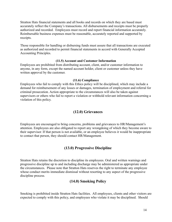Stratton Hats financial statements and all books and records on which they are based must accurately reflect the Company's transactions. All disbursements and receipts must be properly authorized and recorded. Employees must record and report financial information accurately. Reimbursable business expenses must be reasonable, accurately reported and supported by receipts.

Those responsible for handling or disbursing funds must assure that all transactions are executed as authorized and recorded to permit financial statements in accord with Generally Accepted Accounting Principles.

### **(11.5) Account and Customer Information**

Employees are prohibited from distributing account, client, and/or customer information to anyone, in any form, except the named account holder, client or customer unless they have written approval by the customer.

### **(11.6) Compliance**

Employees who fail to comply with this Ethics policy will be disciplined, which may include a demand for reimbursement of any losses or damages, termination of employment and referral for criminal prosecution. Action appropriate to the circumstances will also be taken against supervisors or others who fail to report a violation or withhold relevant information concerning a violation of this policy.

# **(12.0) Grievances**

Employees are encouraged to bring concerns, problems and grievances to HR/Management's attention. Employees are also obligated to report any wrongdoing of which they become aware to their supervisor. If that person is not available, or an employee believes it would be inappropriate to contact that person, they should contact HR/Management.

# **(13.0) Progressive Discipline**

Stratton Hats retains the discretion to discipline its employees. Oral and written warnings and progressive discipline up to and including discharge may be administered as appropriate under the circumstances. Please note that Stratton Hats reserves the right to terminate any employee whose conduct merits immediate dismissal without resorting to any aspect of the progressive discipline process.

# **(14.0) Smoking Policy**

Smoking is prohibited inside Stratton Hats facilities. All employees, clients and other visitors are expected to comply with this policy, and employees who violate it may be disciplined. Should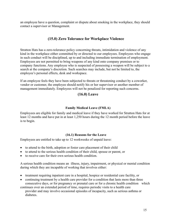an employee have a question, complaint or dispute about smoking in the workplace, they should contact a supervisor or Management.

# **(15.0) Zero Tolerance for Workplace Violence**

Stratton Hats has a zero-tolerance policy concerning threats, intimidation and violence of any kind in the workplace either committed by or directed to our employees. Employees who engage in such conduct will be disciplined, up to and including immediate termination of employment. Employees are not permitted to bring weapons of any kind onto company premises or to company functions. Any employee who is suspected of possessing a weapon will be subject to a search at the company's discretion. Such searches may include, but not be limited to, the employee's personal effects, desk and workspace.

If an employee feels they have been subjected to threats or threatening conduct by a coworker, vendor or customer, the employee should notify his or her supervisor or another member of management immediately. Employees will not be penalized for reporting such concerns.

### **(16.0) Leave**

### **Family Medical Leave (FMLA)**

Employees are eligible for family and medical leave if they have worked for Stratton Hats for at least 12 months and have put in at least 1,250 hours during the 12 month period before the leave is to begin.

### **(16.1) Reasons for the Leave**

Employees are entitled to take up to 12 workweeks of unpaid leave:

- to attend to the birth, adoption or foster care placement of their child
- to attend to the serious health condition of their child, spouse or parent, or
- to receive care for their own serious health condition.

A serious health condition means an illness, injury, impairment, or physical or mental condition during which they are incapable of working that involves either:

- treatment requiring inpatient care in a hospital, hospice or residential care facility, or
- continuing treatment by a health care provider for a condition that lasts more than three consecutive days, or for pregnancy or prenatal care or for a chronic health condition which

continues over an extended period of time, requires periodic visits to a health care provider and may involve occasional episodes of incapacity, such as serious asthma or diabetes.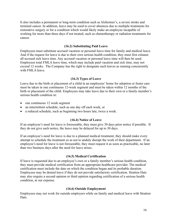It also includes a permanent or long-term condition such as Alzheimer's, a severe stroke and terminal cancer. In addition, leave may be used to cover absences due to multiple treatments for restorative surgery or for a condition which would likely make an employee incapable of working for more than three days if not treated, such as chemotherapy or radiation treatments for cancer.

### **(16.2) Substituting Paid Leave**

Employees must substitute accrued vacation or personal leave time for family and medical leave. And if the request for leave is due to their own serious health condition, they must first exhaust all accrued sick leave time. Any accrued vacation or personal leave time will then be used. Employees total FMLA leave time, which may include paid vacation and sick time, may not exceed 12 weeks. The Company has the right to designate such leaves as running concurrently with FMLA leave.

### **(16.3) Types of Leave**

Leave due to the birth or placement of a child in an employees' home for adoption or foster care must be taken in one continuous 12-week segment and must be taken within 12 months of the birth or placement of the child. Employees may take leave due to their own or a family member's serious health condition in:

- $\bullet$  one continuous 12 week segment
- an intermittent schedule, such as one day off each week, or
- a reduced schedule, such as beginning two hours late, twice a week.

### **(16.4) Notice of Leave**

If an employee's need for leave is foreseeable, they must give 30 days prior notice if possible. If they do not give such notice, the leave may be delayed for up to 30 days.

If an employee's need for leave is due to a planned medical treatment, they should make every attempt to schedule the treatment so as not to unduly disrupt the work of their department. If an employee's need for leave is not foreseeable, they must request it as soon as practicable, no later than two business days after the need for leave arises.

### **(16.5) Medical Certification**

If leave is requested due to an employee's own or a family member's serious health condition, they must provide medical certification from an appropriate healthcare provider. The medical certification must include the date on which the condition began and its probable duration. Employees may be denied leave if they do not provide satisfactory certification. Stratton Hats may also require a second opinion or third opinion regarding certification of a serious health condition, at our expense.

### **(16.6) Outside Employment**

Employees may not work for outside employers while on family and medical leave with Stratton Hats.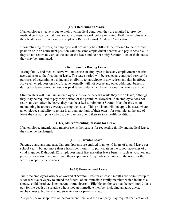### **(16.7) Returning to Work**

If an employee's leave is due to their own medical condition, they are required to provide medical certification that they are able to resume work before returning. Both the employee and their health care provider must complete a Return to Work Medical Certification.

Upon returning to work, an employee will ordinarily be entitled to be restored to their former position or to an equivalent position with the same employment benefits and pay if possible. If they do not return to work at the end of the leave and do not notify Stratton Hats of their status, they may be terminated.

### **(16.8) Benefits During Leave**

Taking family and medical leave will not cause an employee to lose any employment benefits accrued prior to the first day of leave. The leave period will be treated as continued service for purposes of determining vesting and eligibility to participate in any retirement plan in effect. However, employees on FMLA leave normally will not accrue any other additional benefits during the leave period, unless it is paid leave under which benefits would otherwise accrue.

Stratton Hats will maintain an employee's insurance benefits while they are on leave, although they may be required to pay their portion of the premium. However, if an employee does not return to work after the leave, they may be asked to reimburse Stratton Hats for the cost of maintaining insurance coverage during the leave. This provision will not apply in cases where an employee's inability to return is through no fault of their own—for example, at the end of leave they remain physically unable to return due to their serious health condition.

### **(16.9) Misrepresenting Reasons for Leave**

If an employee intentionally misrepresents the reasons for requesting family and medical leave, they may be discharged.

### **(16.10) Parental Leave**

Parents, guardians and custodial grandparents are entitled to up to 40 hours of unpaid leave per school year—but not more than 8 hours per month—to participate in the school activities of a child in grades K through 12. Employees must first use other leave benefits such as vacation and personal leave-and they must give their supervisor 7 days advance notice of the need for the leave, except in emergencies.

#### **(16.11) Bereavement Leave**

Full-time employees who have worked at Stratton Hats for at least 6 months are permitted up to 5 consecutive days pay to attend the funeral of an immediate family member, which includes a spouse, child, brother, sister, parent or grandparent. Eligible employees may be permitted 3 days pay for the death of a relative who is not an immediate member-including an aunt, uncle, nephew, niece, brother-in-law, sister-in-law or parent-in-law.

A supervisor must approve all bereavement time, and the Company may request verification of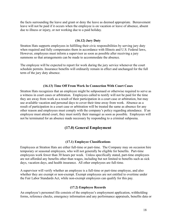the facts surrounding the leave and grant or deny the leave as deemed appropriate. Bereavement leave will not be paid if it occurs when the employee is on vacation or leave of absence, absent due to illness or injury, or not working due to a paid holiday.

### **(16.12) Jury Duty**

Stratton Hats supports employees in fulfilling their civic responsibilities by serving jury duty when required and fully compensates them in accordance with Illinois and U.S. Federal laws, However, employees must inform a supervisor as soon as possible after receiving a jury summons so that arrangements can be made to accommodate the absence.

The employee will be expected to report for work during the jury service whenever the court schedule permits. Insurance benefits will ordinarily remain in effect and unchanged for the full term of the jury duty absence.

#### **(16.13) Time Off From Work In Connection With Court Cases**

Stratton Hats recognizes that an employee might be subpoenaed or otherwise required to serve as a witness in court cases or arbitration. Employees called to testify will not be paid for the time they are away from work as a result of their participation in a court case or arbitration, but may use available vacation and personal days to cover their time away from work. Absence as a result of participation in a court case or arbitration will be treated the same as absence for any other reason and employees must comply with the company's policy regarding attendance. If an employee must attend court, they must notify their manager as soon as possible. Employees will not be terminated for an absence made necessary by responding to a criminal subpoena.

### **(17.0) General Employment**

#### **(17.1) Employee Classifications**

Employees at Stratton Hats are either full-time or part-time. The Company may on occasion hire temporary or seasonal employees, who will not generally be eligible for benefits. Part-time employees work fewer than 30 hours per week. Unless specifically stated, part-time employees are not afforded any benefits other than wages, including but not limited to benefits such as sick days, vacation days, and health insurance. All other employees are full-time.

A supervisor will verify whether an employee is a full-time or part-time employee, and also whether they are exempt or non-exempt. Exempt employees are not entitled to overtime under the Fair Labor Standards Act, while non-exempt employees can qualify for this pay.

#### **(17.2) Employee Records**

An employee's personnel file consists of the employee's employment application, withholding forms, reference checks, emergency information and any performance appraisals, benefits data or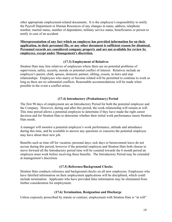other appropriate employment-related documents. It is the employee's responsibility to notify the Payroll Department or Human Resources of any changes in name, address, telephone number, marital status, number of dependents, military service status, beneficiaries or person to notify in case of an accident.

### **Misrepresentation of any fact which an employee has provided information for on their application, in their personnel file, or any other document is sufficient reason for dismissal. Personnel records are considered company property and are not available for review by employees, except under Management's discretion.**

### **(17.3) Employment of Relatives**

Stratton Hats may hire relatives of employees where there are no potential problems of supervision, safety, security, morale or potential conflict of interest. Relatives include an employee's parent, child, spouse, domestic partner, sibling, cousin, in-laws and step relationships. Employees who marry or become related will be permitted to continue to work as long as there are no substantial conflicts. Reasonable accommodations will be made when possible in the event a conflict arises.

### **(17.4) Introductory (Probationary) Period**

The first 90 days of employment are an Introductory Period for both the potential employee and the Company. However, during and after this period, the work relationship will remain at will. This time period allows a potential employee to determine if they have made the right career decision and for Stratton Hats to determine whether their initial work performance meets Stratton Hats needs.

A manager will monitor a potential employee's work performance, attitude and attendance during this time, and be available to answer any questions or concerns the potential employee may have about their new job.

Benefits such as time off for vacation, personal days, sick days or bereavement leave do not accrue during this period, however if the potential employee and Stratton Hats both choose to move forward all the Introductory period time will be counted towards the 6 month period an employee must work before receiving these benefits. The Introductory Period may be extended at management's discretion.

### **(17.5) Reference/Background Checks**

Stratton Hats conducts reference and background checks on all new employees. Employees who have falsified information on their employment applications will be disciplined, which could include termination. Applicants who have provided false information may be eliminated from further consideration for employment.

### **(17.6) Termination, Resignation and Discharge**

Unless expressly proscribed by statute or contract, employment with Stratton Hats is "at will"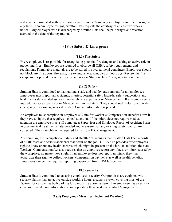and may be terminated with or without cause or notice. Similarly, employees are free to resign at any time. If an employee resigns, Stratton Hats requests the courtesy of at least two weeks notice. Any employee who is discharged by Stratton Hats shall be paid wages and vacation accrued to the date of the separation.

# **(18.0) Safety & Emergency**

#### **(18.1) Fire Safety**

Every employee is responsible for recognizing potential fire dangers and taking an active role in preventing fires. Employees are required to observe all OSHA safety requirements and regulations. Flammable materials are to be stored in covered metal containers. Employees should not block any fire doors, fire exits, fire extinguishers, windows or doorways. Review the fire escape routes posted in each work area and review Stratton Hats Emergency Action Plan.

#### **(18.2) Safety**

Stratton Hats is committed to maintaining a safe and healthy environment for all employees. Employees must report all accidents, injuries, potential safety hazards, safety suggestions and health and safety related issues immediately to a supervisor or Management. If any employee is injured, contact a supervisor or Management immediately. They should seek help from outside emergency response agencies if needed. Contact information is posted.

An employee must complete an Employee's Claim for Worker's Compensation Benefits Form if they have an injury that requires medical attention. If the injury does not require medical attention the employee must still complete a Supervisor and Employee Report of Accident Form in case medical treatment is later needed and to ensure that any existing safety hazards are corrected. They can obtain the required forms from HR/Management.

A federal law, the Occupational Safety and Health Act, requires that Stratton Hats keep records of all illnesses and serious accidents that occur on the job. OSHA also provides for employees' right to know about any health hazards which might be present on the job. In addition, the state Workers' Compensation Act also requires that an employee report any illness or injury caused by the workplace, no matter how slight. If an employee does not report an injury, they may jeopardize their right to collect workers' compensation payments as well as health benefits. Employees can get the required reporting paperwork from HR/Management.

#### **(18.3) Security**

Stratton Hats is committed to ensuring employees' security. Our premises are equipped with security alarms that are active outside working hours, a camera system covering most of the factory floor as well as both parking lots, and a fire alarm system. If an employee has a security concern or need more information about operating these systems, contact Management.

#### **(18.4) Emergency Measures (Inclement Weather)**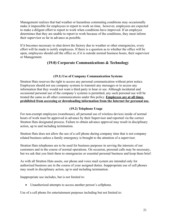Management realizes that bad weather or hazardous commuting conditions may occasionally make it impossible for employees to report to work on time, however, employees are expected to make a diligent effort to report to work when conditions have improved. If an employee determines that they are unable to report to work because of the conditions, they must inform their supervisor as far in advance as possible.

If it becomes necessary to shut down the factory due to weather or other emergencies, every effort will be made to notify employees. If there is a question as to whether the office will be open, employees should call the office or, if it is outside normal business hours, their supervisor or Management.

# **(19.0) Corporate Communications & Technology**

### **(19.1) Use of Company Communication Systems**

Stratton Hats reserves the right to access any personal communication without prior notice. Employees should not use company systems to transmit any messages or to access any information that they would not want a third party to hear or see. Although incidental and occasional personal use of the company's systems is permitted, any such personal use will be treated the same as all other communications under this policy. **Employees are at all times prohibited from accessing or downloading information from the Internet for personal use.**

### **(19.2) Telephone Usage**

For non-exempt employees (warehouse), all personal use of wireless devices inside of normal hours of work must be approved in advance by their Supervisor and reported via the correct Stratton Hats designated process. Failure to obtain advance approval may result in disciplinary action, up to and including termination.

Stratton Hats does not allow the use of a cell phone during company time that is not company related business unless a family emergency is brought to the attention of a supervisor.

Stratton Hats telephones are to be used for business purposes in serving the interests of our customers and in the course of normal operations. On occasion, personal calls may be necessary, but we ask that you limit them to emergencies or essential personal business and keep them brief.

As with all Stratton Hats assets, our phone and voice mail system are intended only for authorized business use in the course of your assigned duties. Inappropriate use of cell phones may result in disciplinary action, up to and including termination.

Inappropriate use includes, but is not limited to:

Unauthorized attempts to access another person's cellphone.

Use of a cell phone for entertainment purposes including but not limited to: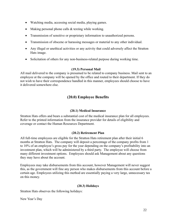- Watching media, accessing social media, playing games.
- Making personal phone calls  $&$  texting while working.
- Transmission of sensitive or proprietary information to unauthorized persons.
- Transmission of obscene or harassing messages or material to any other individual.
- Any illegal or unethical activities or any activity that could adversely affect the Stratton Hats image.
- Solicitation of others for any non-business-related purpose during working time.

### **(19.3) Personal Mail**

All mail delivered to the company is presumed to be related to company business. Mail sent to an employee at the company will be opened by the office and routed to their department. If they do not wish to have their correspondence handled in this manner, employees should choose to have it delivered somewhere else.

# **(20.0) Employee Benefits**

### **(20.1) Medical Insurance**

Stratton Hats offers and bears a substantial cost of the medical insurance plan for all employees. Refer to the printed information from the insurance provider for details of eligibility and coverage or contact the Human Resources Department.

### **(20.2) Retirement Plan**

All full-time employees are eligible for the Stratton Hats retirement plan after their initial 6 months at Stratton Hats. The company will deposit a percentage of the company profits from 1 to 10% of an employee's gross pay for the year depending on the company's profitability into an investment plan, which will be administered by a third party. The employee will choose from many different investment options. Employees should ask Management about any questions they may have about the account.

Employees may take disbursements from this account, however Management will never suggest this, as the government will fine any person who makes disbursements from this account before a certain age. Employees utilizing this method are essentially paying a very large, unnecessary tax on this money.

### **(20.3) Holidays**

Stratton Hats observes the following holidays:

New Year's Day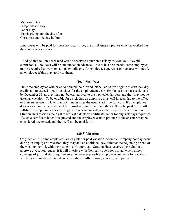Memorial Day Independence Day Labor Day Thanksgiving and the day after Christmas and the day before

Employees will be paid for these holidays if they are a full-time employee who has worked past their introductory period.

Holidays that fall on a weekend will be observed either on a Friday or Monday. To avoid confusion, all holidays will be announced in advance. Due to business needs, some employees may be required to work on company holidays. An employee supervisor or manager will notify an employee if this may apply to them.

### **(20.4) Sick Days**

Full-time employees who have completed their Introductory Period are eligible to earn sick day credits not to exceed 4 paid sick days for the employment year. Employees must use sick days by December 31, as they may not be carried over to the next calendar year-and they may not be taken as vacation. To be eligible for a sick day, an employee must call in each day to the office or their supervisor no later than 15 minutes after the usual start time for work. If an employee does not call in, the absence will be considered unexcused and they will not be paid for it. All full-time exempt employees are eligible to receive sick days at their supervisor's discretion. Stratton Hats reserves the right to request a doctor's certificate/ letter for any sick days requested. If such a certificate/letter is requested and the employee cannot produce it, the absence may be considered unexcused, and they will not be paid for it.

### **(20.5) Vacation**

Only active, full-time employees are eligible for paid vacation. Should a Company holiday occur during an employee's vacation, they may add an additional day, either at the beginning or end of the vacation period, with their supervisor's approval. Stratton Hats reserves the right not to approve a vacation request if it will interfere with Company operations or adversely affect coverage of job and staff requirements. Whenever possible, employees' requests for vacation will be accommodated, but where scheduling conflicts arise, seniority will prevail.